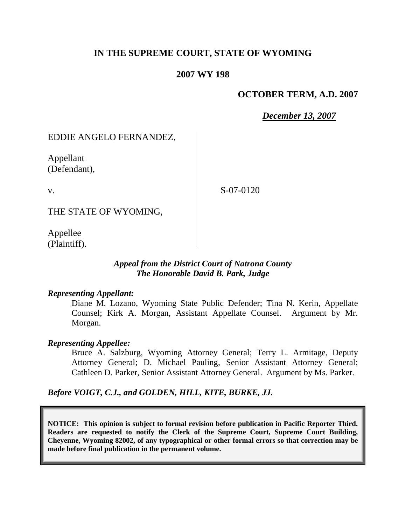## **IN THE SUPREME COURT, STATE OF WYOMING**

#### **2007 WY 198**

### **OCTOBER TERM, A.D. 2007**

*December 13, 2007*

### EDDIE ANGELO FERNANDEZ,

Appellant (Defendant),

v.

S-07-0120

THE STATE OF WYOMING,

Appellee (Plaintiff).

#### *Appeal from the District Court of Natrona County The Honorable David B. Park, Judge*

#### *Representing Appellant:*

Diane M. Lozano, Wyoming State Public Defender; Tina N. Kerin, Appellate Counsel; Kirk A. Morgan, Assistant Appellate Counsel. Argument by Mr. Morgan.

#### *Representing Appellee:*

Bruce A. Salzburg, Wyoming Attorney General; Terry L. Armitage, Deputy Attorney General; D. Michael Pauling, Senior Assistant Attorney General; Cathleen D. Parker, Senior Assistant Attorney General. Argument by Ms. Parker.

*Before VOIGT, C.J., and GOLDEN, HILL, KITE, BURKE, JJ.*

**NOTICE: This opinion is subject to formal revision before publication in Pacific Reporter Third. Readers are requested to notify the Clerk of the Supreme Court, Supreme Court Building, Cheyenne, Wyoming 82002, of any typographical or other formal errors so that correction may be made before final publication in the permanent volume.**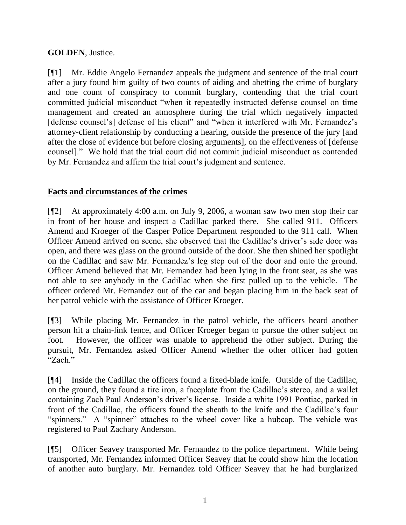## **GOLDEN**, Justice.

[¶1] Mr. Eddie Angelo Fernandez appeals the judgment and sentence of the trial court after a jury found him guilty of two counts of aiding and abetting the crime of burglary and one count of conspiracy to commit burglary, contending that the trial court committed judicial misconduct "when it repeatedly instructed defense counsel on time management and created an atmosphere during the trial which negatively impacted [defense counsel's] defense of his client" and "when it interfered with Mr. Fernandez's attorney-client relationship by conducting a hearing, outside the presence of the jury [and after the close of evidence but before closing arguments], on the effectiveness of [defense counsel]." We hold that the trial court did not commit judicial misconduct as contended by Mr. Fernandez and affirm the trial court's judgment and sentence.

## **Facts and circumstances of the crimes**

[¶2] At approximately 4:00 a.m. on July 9, 2006, a woman saw two men stop their car in front of her house and inspect a Cadillac parked there. She called 911. Officers Amend and Kroeger of the Casper Police Department responded to the 911 call. When Officer Amend arrived on scene, she observed that the Cadillac's driver's side door was open, and there was glass on the ground outside of the door. She then shined her spotlight on the Cadillac and saw Mr. Fernandez's leg step out of the door and onto the ground. Officer Amend believed that Mr. Fernandez had been lying in the front seat, as she was not able to see anybody in the Cadillac when she first pulled up to the vehicle. The officer ordered Mr. Fernandez out of the car and began placing him in the back seat of her patrol vehicle with the assistance of Officer Kroeger.

[¶3] While placing Mr. Fernandez in the patrol vehicle, the officers heard another person hit a chain-link fence, and Officer Kroeger began to pursue the other subject on foot. However, the officer was unable to apprehend the other subject. During the pursuit, Mr. Fernandez asked Officer Amend whether the other officer had gotten "Zach."

[¶4] Inside the Cadillac the officers found a fixed-blade knife. Outside of the Cadillac, on the ground, they found a tire iron, a faceplate from the Cadillac's stereo, and a wallet containing Zach Paul Anderson's driver's license. Inside a white 1991 Pontiac, parked in front of the Cadillac, the officers found the sheath to the knife and the Cadillac's four "spinners." A "spinner" attaches to the wheel cover like a hubcap. The vehicle was registered to Paul Zachary Anderson.

[¶5] Officer Seavey transported Mr. Fernandez to the police department. While being transported, Mr. Fernandez informed Officer Seavey that he could show him the location of another auto burglary. Mr. Fernandez told Officer Seavey that he had burglarized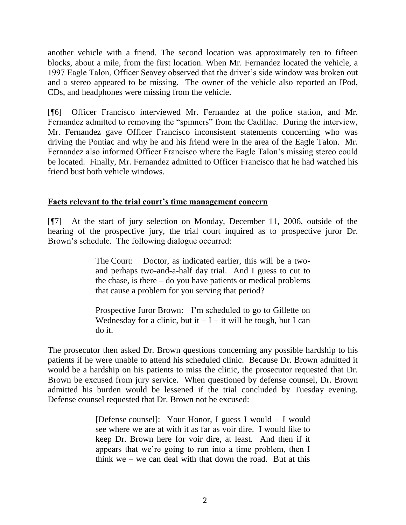another vehicle with a friend. The second location was approximately ten to fifteen blocks, about a mile, from the first location. When Mr. Fernandez located the vehicle, a 1997 Eagle Talon, Officer Seavey observed that the driver's side window was broken out and a stereo appeared to be missing. The owner of the vehicle also reported an IPod, CDs, and headphones were missing from the vehicle.

[¶6] Officer Francisco interviewed Mr. Fernandez at the police station, and Mr. Fernandez admitted to removing the "spinners" from the Cadillac. During the interview, Mr. Fernandez gave Officer Francisco inconsistent statements concerning who was driving the Pontiac and why he and his friend were in the area of the Eagle Talon. Mr. Fernandez also informed Officer Francisco where the Eagle Talon's missing stereo could be located. Finally, Mr. Fernandez admitted to Officer Francisco that he had watched his friend bust both vehicle windows.

### **Facts relevant to the trial court's time management concern**

[¶7] At the start of jury selection on Monday, December 11, 2006, outside of the hearing of the prospective jury, the trial court inquired as to prospective juror Dr. Brown's schedule. The following dialogue occurred:

> The Court: Doctor, as indicated earlier, this will be a twoand perhaps two-and-a-half day trial. And I guess to cut to the chase, is there – do you have patients or medical problems that cause a problem for you serving that period?

> Prospective Juror Brown: I'm scheduled to go to Gillette on Wednesday for a clinic, but it  $-I - it$  will be tough, but I can do it.

The prosecutor then asked Dr. Brown questions concerning any possible hardship to his patients if he were unable to attend his scheduled clinic. Because Dr. Brown admitted it would be a hardship on his patients to miss the clinic, the prosecutor requested that Dr. Brown be excused from jury service. When questioned by defense counsel, Dr. Brown admitted his burden would be lessened if the trial concluded by Tuesday evening. Defense counsel requested that Dr. Brown not be excused:

> [Defense counsel]: Your Honor, I guess I would – I would see where we are at with it as far as voir dire. I would like to keep Dr. Brown here for voir dire, at least. And then if it appears that we're going to run into a time problem, then I think we – we can deal with that down the road. But at this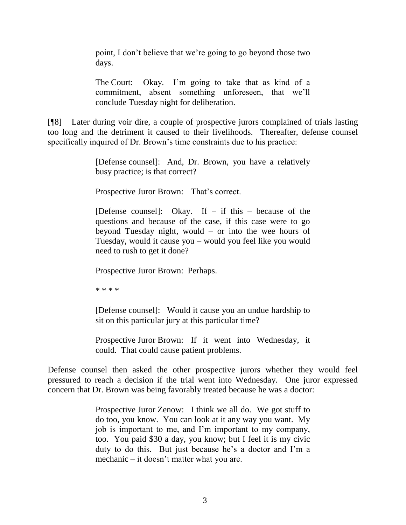point, I don't believe that we're going to go beyond those two days.

The Court: Okay. I'm going to take that as kind of a commitment, absent something unforeseen, that we'll conclude Tuesday night for deliberation.

[¶8] Later during voir dire, a couple of prospective jurors complained of trials lasting too long and the detriment it caused to their livelihoods. Thereafter, defense counsel specifically inquired of Dr. Brown's time constraints due to his practice:

> [Defense counsel]: And, Dr. Brown, you have a relatively busy practice; is that correct?

Prospective Juror Brown: That's correct.

[Defense counsel]: Okay. If  $-$  if this  $-$  because of the questions and because of the case, if this case were to go beyond Tuesday night, would – or into the wee hours of Tuesday, would it cause you – would you feel like you would need to rush to get it done?

Prospective Juror Brown: Perhaps.

\* \* \* \*

[Defense counsel]: Would it cause you an undue hardship to sit on this particular jury at this particular time?

Prospective Juror Brown: If it went into Wednesday, it could. That could cause patient problems.

Defense counsel then asked the other prospective jurors whether they would feel pressured to reach a decision if the trial went into Wednesday. One juror expressed concern that Dr. Brown was being favorably treated because he was a doctor:

> Prospective Juror Zenow: I think we all do. We got stuff to do too, you know. You can look at it any way you want. My job is important to me, and I'm important to my company, too. You paid \$30 a day, you know; but I feel it is my civic duty to do this. But just because he's a doctor and I'm a mechanic – it doesn't matter what you are.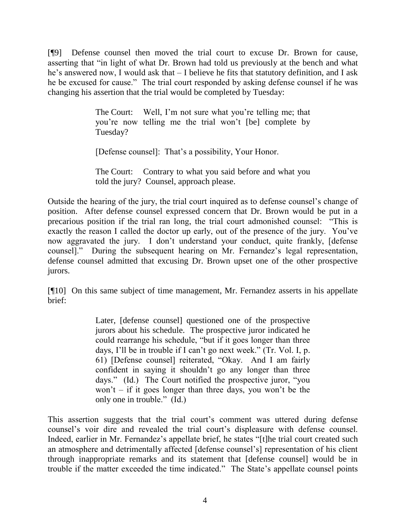[¶9] Defense counsel then moved the trial court to excuse Dr. Brown for cause, asserting that "in light of what Dr. Brown had told us previously at the bench and what he's answered now, I would ask that – I believe he fits that statutory definition, and I ask he be excused for cause." The trial court responded by asking defense counsel if he was changing his assertion that the trial would be completed by Tuesday:

> The Court: Well, I'm not sure what you're telling me; that you're now telling me the trial won't [be] complete by Tuesday?

[Defense counsel]: That's a possibility, Your Honor.

The Court: Contrary to what you said before and what you told the jury? Counsel, approach please.

Outside the hearing of the jury, the trial court inquired as to defense counsel's change of position. After defense counsel expressed concern that Dr. Brown would be put in a precarious position if the trial ran long, the trial court admonished counsel: "This is exactly the reason I called the doctor up early, out of the presence of the jury. You've now aggravated the jury. I don't understand your conduct, quite frankly, [defense counsel]." During the subsequent hearing on Mr. Fernandez's legal representation, defense counsel admitted that excusing Dr. Brown upset one of the other prospective jurors.

[¶10] On this same subject of time management, Mr. Fernandez asserts in his appellate brief:

> Later, [defense counsel] questioned one of the prospective jurors about his schedule. The prospective juror indicated he could rearrange his schedule, "but if it goes longer than three days, I'll be in trouble if I can't go next week." (Tr. Vol. I, p. 61) [Defense counsel] reiterated, "Okay. And I am fairly confident in saying it shouldn't go any longer than three days." (Id.) The Court notified the prospective juror, "you won't – if it goes longer than three days, you won't be the only one in trouble." (Id.)

This assertion suggests that the trial court's comment was uttered during defense counsel's voir dire and revealed the trial court's displeasure with defense counsel. Indeed, earlier in Mr. Fernandez's appellate brief, he states "[t]he trial court created such an atmosphere and detrimentally affected [defense counsel's] representation of his client through inappropriate remarks and its statement that [defense counsel] would be in trouble if the matter exceeded the time indicated." The State's appellate counsel points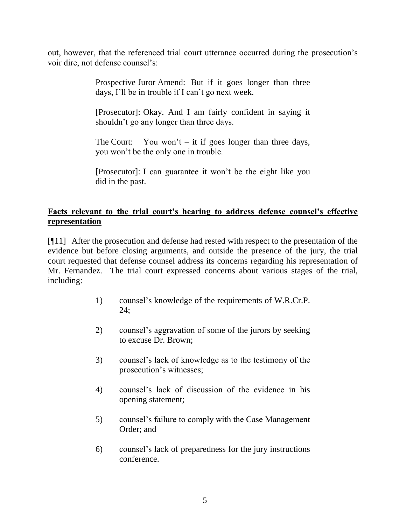out, however, that the referenced trial court utterance occurred during the prosecution's voir dire, not defense counsel's:

> Prospective Juror Amend: But if it goes longer than three days, I'll be in trouble if I can't go next week.

> [Prosecutor]: Okay. And I am fairly confident in saying it shouldn't go any longer than three days.

> The Court: You won't  $-$  it if goes longer than three days, you won't be the only one in trouble.

> [Prosecutor]: I can guarantee it won't be the eight like you did in the past.

# **Facts relevant to the trial court's hearing to address defense counsel's effective representation**

[¶11] After the prosecution and defense had rested with respect to the presentation of the evidence but before closing arguments, and outside the presence of the jury, the trial court requested that defense counsel address its concerns regarding his representation of Mr. Fernandez. The trial court expressed concerns about various stages of the trial, including:

- 1) counsel's knowledge of the requirements of W.R.Cr.P. 24;
- 2) counsel's aggravation of some of the jurors by seeking to excuse Dr. Brown;
- 3) counsel's lack of knowledge as to the testimony of the prosecution's witnesses;
- 4) counsel's lack of discussion of the evidence in his opening statement;
- 5) counsel's failure to comply with the Case Management Order; and
- 6) counsel's lack of preparedness for the jury instructions conference.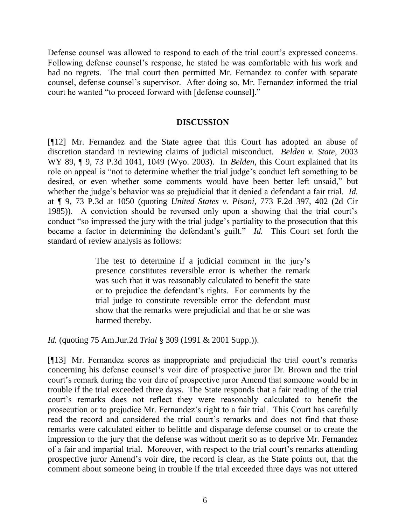Defense counsel was allowed to respond to each of the trial court's expressed concerns. Following defense counsel's response, he stated he was comfortable with his work and had no regrets. The trial court then permitted Mr. Fernandez to confer with separate counsel, defense counsel's supervisor. After doing so, Mr. Fernandez informed the trial court he wanted "to proceed forward with [defense counsel]."

#### **DISCUSSION**

[¶12] Mr. Fernandez and the State agree that this Court has adopted an abuse of discretion standard in reviewing claims of judicial misconduct. *Belden v. State,* 2003 WY 89, ¶ 9, 73 P.3d 1041, 1049 (Wyo. 2003). In *Belden*, this Court explained that its role on appeal is "not to determine whether the trial judge's conduct left something to be desired, or even whether some comments would have been better left unsaid," but whether the judge's behavior was so prejudicial that it denied a defendant a fair trial. *Id.* at ¶ 9, 73 P.3d at 1050 (quoting *United States v. Pisani*, 773 F.2d 397, 402 (2d Cir 1985)). A conviction should be reversed only upon a showing that the trial court's conduct "so impressed the jury with the trial judge's partiality to the prosecution that this became a factor in determining the defendant's guilt." *Id.* This Court set forth the standard of review analysis as follows:

> The test to determine if a judicial comment in the jury's presence constitutes reversible error is whether the remark was such that it was reasonably calculated to benefit the state or to prejudice the defendant's rights. For comments by the trial judge to constitute reversible error the defendant must show that the remarks were prejudicial and that he or she was harmed thereby.

*Id.* (quoting 75 Am.Jur.2d *Trial* § 309 (1991 & 2001 Supp.)).

[¶13] Mr. Fernandez scores as inappropriate and prejudicial the trial court's remarks concerning his defense counsel's voir dire of prospective juror Dr. Brown and the trial court's remark during the voir dire of prospective juror Amend that someone would be in trouble if the trial exceeded three days. The State responds that a fair reading of the trial court's remarks does not reflect they were reasonably calculated to benefit the prosecution or to prejudice Mr. Fernandez's right to a fair trial. This Court has carefully read the record and considered the trial court's remarks and does not find that those remarks were calculated either to belittle and disparage defense counsel or to create the impression to the jury that the defense was without merit so as to deprive Mr. Fernandez of a fair and impartial trial. Moreover, with respect to the trial court's remarks attending prospective juror Amend's voir dire, the record is clear, as the State points out, that the comment about someone being in trouble if the trial exceeded three days was not uttered